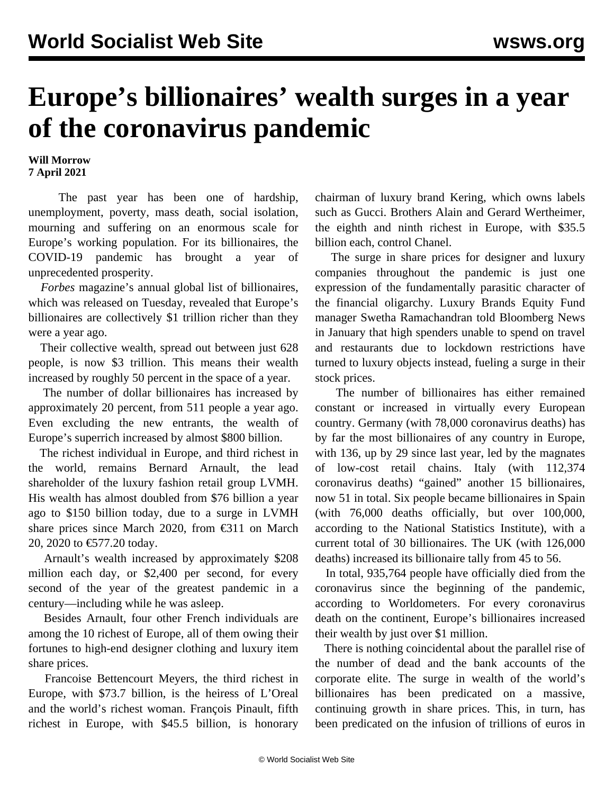## **Europe's billionaires' wealth surges in a year of the coronavirus pandemic**

## **Will Morrow 7 April 2021**

 The past year has been one of hardship, unemployment, poverty, mass death, social isolation, mourning and suffering on an enormous scale for Europe's working population. For its billionaires, the COVID-19 pandemic has brought a year of unprecedented prosperity.

 *Forbes* magazine's annual global list of billionaires, [which was released on Tuesday](/en/articles/2021/04/07/pers-a07.html), revealed that Europe's billionaires are collectively \$1 trillion richer than they were a year ago.

 Their collective wealth, spread out between just 628 people, is now \$3 trillion. This means their wealth increased by roughly 50 percent in the space of a year.

 The number of dollar billionaires has increased by approximately 20 percent, from 511 people a year ago. Even excluding the new entrants, the wealth of Europe's superrich increased by almost \$800 billion.

 The richest individual in Europe, and third richest in the world, remains Bernard Arnault, the lead shareholder of the luxury fashion retail group LVMH. His wealth has almost doubled from \$76 billion a year ago to \$150 billion today, due to a surge in LVMH share prices since March 2020, from €311 on March 20, 2020 to €577.20 today.

 Arnault's wealth increased by approximately \$208 million each day, or \$2,400 per second, for every second of the year of the greatest pandemic in a century—including while he was asleep.

 Besides Arnault, four other French individuals are among the 10 richest of Europe, all of them owing their fortunes to high-end designer clothing and luxury item share prices.

 Francoise Bettencourt Meyers, the third richest in Europe, with \$73.7 billion, is the heiress of L'Oreal and the world's richest woman. François Pinault, fifth richest in Europe, with \$45.5 billion, is honorary chairman of luxury brand Kering, which owns labels such as Gucci. Brothers Alain and Gerard Wertheimer, the eighth and ninth richest in Europe, with \$35.5 billion each, control Chanel.

 The surge in share prices for designer and luxury companies throughout the pandemic is just one expression of the fundamentally parasitic character of the financial oligarchy. Luxury Brands Equity Fund manager Swetha Ramachandran told Bloomberg News in January that high spenders unable to spend on travel and restaurants due to lockdown restrictions have turned to luxury objects instead, fueling a surge in their stock prices.

 The number of billionaires has either remained constant or increased in virtually every European country. Germany (with 78,000 coronavirus deaths) has by far the most billionaires of any country in Europe, with 136, up by 29 since last year, led by the magnates of low-cost retail chains. Italy (with 112,374 coronavirus deaths) "gained" another 15 billionaires, now 51 in total. Six people became billionaires in Spain (with 76,000 deaths officially, but over 100,000, according to the National Statistics Institute), with a current total of 30 billionaires. The UK (with 126,000 deaths) increased its billionaire tally from 45 to 56.

 In total, 935,764 people have officially died from the coronavirus since the beginning of the pandemic, according to Worldometers. For every coronavirus death on the continent, Europe's billionaires increased their wealth by just over \$1 million.

 There is nothing coincidental about the parallel rise of the number of dead and the bank accounts of the corporate elite. The surge in wealth of the world's billionaires has been predicated on a massive, continuing growth in share prices. This, in turn, has been predicated on the infusion of trillions of euros in